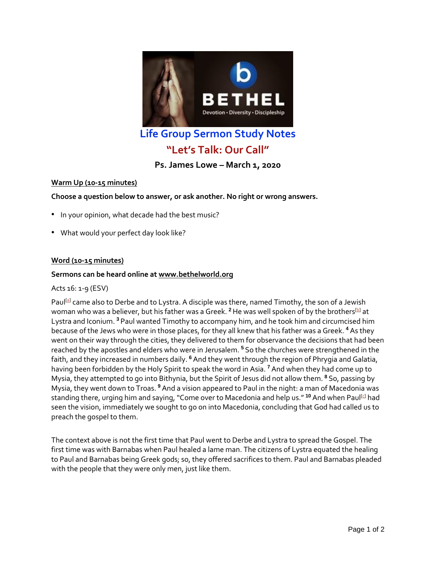

## **Life Group Sermon Study Notes**

# **"Let's Talk: Our Call"**

**Ps. James Lowe – March 1, 2020**

### **Warm Up (10-15 minutes)**

**Choose a question below to answer, or ask another. No right or wrong answers.**

- In your opinion, what decade had the best music?
- What would your perfect day look like?

#### **Word (10-15 minutes)**

#### **Sermons can be heard online at [www.bethelworld.org](http://www.bethelworld.org/)**

#### Acts 16: 1-9 (ESV)

Paul<sup>[\[a\]](https://www.biblegateway.com/passage/?search=acts+16&version=ESV#fen-ESV-27471a)</sup> came also to Derbe and to Lystra. A disciple was there, named Timothy, the son of a Jewish woman who was a believer, but his father was a Greek.<sup>2</sup> He was well spoken of by the brothers<sup>[\[b\]](https://www.biblegateway.com/passage/?search=acts+16&version=ESV#fen-ESV-27472b)</sup> at Lystra and Iconium. **<sup>3</sup>** Paul wanted Timothy to accompany him, and he took him and circumcised him because of the Jews who were in those places, for they all knew that his father was a Greek. **<sup>4</sup>** As they went on their way through the cities, they delivered to them for observance the decisions that had been reached by the apostles and elders who were in Jerusalem. **<sup>5</sup>** So the churches were strengthened in the faith, and they increased in numbers daily. **<sup>6</sup>** And they went through the region of Phrygia and Galatia, having been forbidden by the Holy Spirit to speak the word in Asia. **<sup>7</sup>** And when they had come up to Mysia, they attempted to go into Bithynia, but the Spirit of Jesus did not allow them. **<sup>8</sup>** So, passing by Mysia, they went down to Troas. **<sup>9</sup>** And a vision appeared to Paul in the night: a man of Macedonia was standing there, urging him and saying, "Come over to Macedonia and help us." <sup>10</sup> And when Paul<sup>[\[c\]](https://www.biblegateway.com/passage/?search=acts+16&version=ESV#fen-ESV-27480c)</sup> had seen the vision, immediately we sought to go on into Macedonia, concluding that God had called us to preach the gospel to them.

The context above is not the first time that Paul went to Derbe and Lystra to spread the Gospel. The first time was with Barnabas when Paul healed a lame man. The citizens of Lystra equated the healing to Paul and Barnabas being Greek gods; so, they offered sacrifices to them. Paul and Barnabas pleaded with the people that they were only men, just like them.